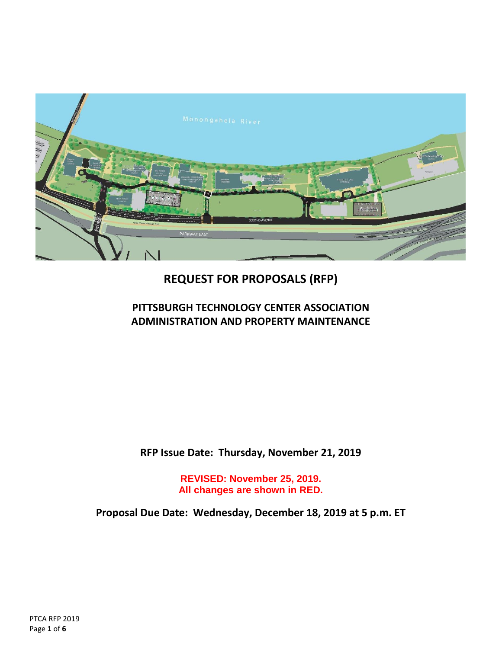

# **REQUEST FOR PROPOSALS (RFP)**

# **PITTSBURGH TECHNOLOGY CENTER ASSOCIATION ADMINISTRATION AND PROPERTY MAINTENANCE**

**RFP Issue Date: Thursday, November 21, 2019**

**REVISED: November 25, 2019. All changes are shown in RED.**

**Proposal Due Date: Wednesday, December 18, 2019 at 5 p.m. ET**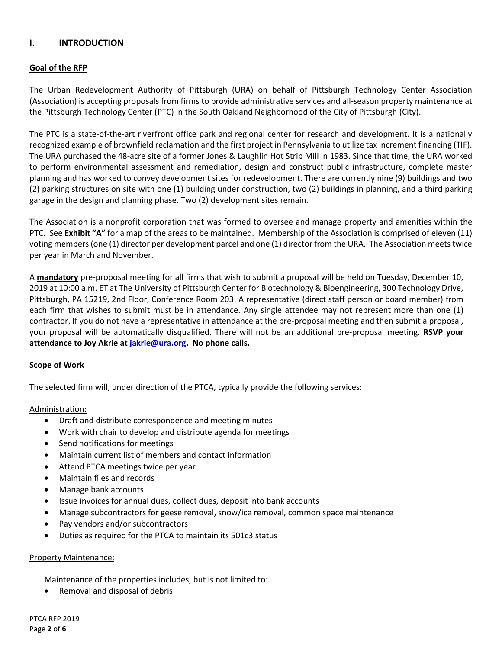# **I. INTRODUCTION**

### **Goal of the RFP**

The Urban Redevelopment Authority of Pittsburgh (URA) on behalf of Pittsburgh Technology Center Association (Association) is accepting proposals from firms to provide administrative services and all-season property maintenance at the Pittsburgh Technology Center (PTC) in the South Oakland Neighborhood of the City of Pittsburgh (City).

The PTC is a state-of-the-art riverfront office park and regional center for research and development. It is a nationally recognized example of brownfield reclamation and the first project in Pennsylvania to utilize tax increment financing (TIF). The URA purchased the 48-acre site of a former Jones & Laughlin Hot Strip Mill in 1983. Since that time, the URA worked to perform environmental assessment and remediation, design and construct public infrastructure, complete master planning and has worked to convey development sites for redevelopment. There are currently nine (9) buildings and two (2) parking structures on site with one (1) building under construction, two (2) buildings in planning, and a third parking garage in the design and planning phase. Two (2) development sites remain.

The Association is a nonprofit corporation that was formed to oversee and manage property and amenities within the PTC. See **Exhibit "A"** for a map of the areas to be maintained. Membership of the Association is comprised of eleven (11) voting members (one (1) director per development parcel and one (1) director from the URA. The Association meets twice per year in March and November.

A **mandatory** pre-proposal meeting for all firms that wish to submit a proposal will be held on Tuesday, December 10, 2019 at 10:00 a.m. ET at The University of Pittsburgh Center for Biotechnology & Bioengineering, 300 Technology Drive, Pittsburgh, PA 15219, 2nd Floor, Conference Room 203. A representative (direct staff person or board member) from each firm that wishes to submit must be in attendance. Any single attendee may not represent more than one (1) contractor. If you do not have a representative in attendance at the pre-proposal meeting and then submit a proposal, your proposal will be automatically disqualified. There will not be an additional pre-proposal meeting. **RSVP your attendance to Joy Akrie at [jakrie@ura.org.](mailto:jakrie@ura.org) No phone calls.**

#### **Scope of Work**

The selected firm will, under direction of the PTCA, typically provide the following services:

#### Administration:

- Draft and distribute correspondence and meeting minutes
- Work with chair to develop and distribute agenda for meetings
- Send notifications for meetings
- Maintain current list of members and contact information
- Attend PTCA meetings twice per year
- Maintain files and records
- Manage bank accounts
- Issue invoices for annual dues, collect dues, deposit into bank accounts
- Manage subcontractors for geese removal, snow/ice removal, common space maintenance
- Pay vendors and/or subcontractors
- Duties as required for the PTCA to maintain its 501c3 status

#### Property Maintenance:

Maintenance of the properties includes, but is not limited to:

• Removal and disposal of debris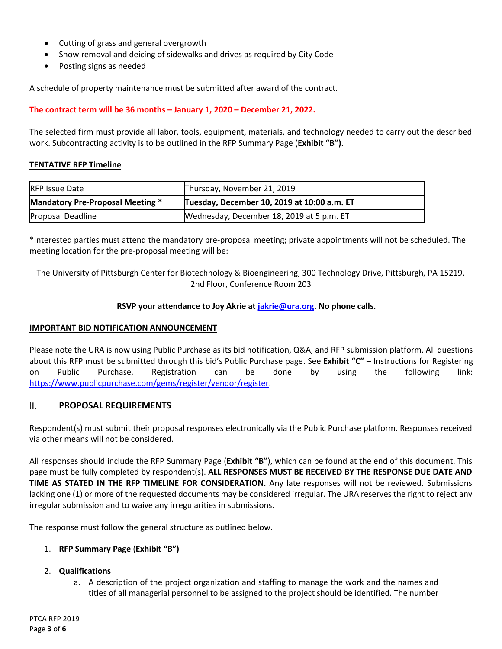- Cutting of grass and general overgrowth
- Snow removal and deicing of sidewalks and drives as required by City Code
- Posting signs as needed

A schedule of property maintenance must be submitted after award of the contract.

### **The contract term will be 36 months – January 1, 2020 – December 21, 2022.**

The selected firm must provide all labor, tools, equipment, materials, and technology needed to carry out the described work. Subcontracting activity is to be outlined in the RFP Summary Page (**Exhibit "B").**

### **TENTATIVE RFP Timeline**

| <b>RFP Issue Date</b>            | Thursday, November 21, 2019                 |
|----------------------------------|---------------------------------------------|
| Mandatory Pre-Proposal Meeting * | Tuesday, December 10, 2019 at 10:00 a.m. ET |
| Proposal Deadline                | Wednesday, December 18, 2019 at 5 p.m. ET   |

\*Interested parties must attend the mandatory pre-proposal meeting; private appointments will not be scheduled. The meeting location for the pre-proposal meeting will be:

The University of Pittsburgh Center for Biotechnology & Bioengineering, 300 Technology Drive, Pittsburgh, PA 15219, 2nd Floor, Conference Room 203

### **RSVP your attendance to Joy Akrie a[t jakrie@ura.org.](mailto:jakrie@ura.org) No phone calls.**

#### **IMPORTANT BID NOTIFICATION ANNOUNCEMENT**

Please note the URA is now using Public Purchase as its bid notification, Q&A, and RFP submission platform. All questions about this RFP must be submitted through this bid's Public Purchase page. See **Exhibit "C"** – Instructions for Registering on Public Purchase. Registration can be done by using the following link: [https://www.publicpurchase.com/gems/register/vendor/register.](https://www.publicpurchase.com/gems/register/vendor/register)

# II. **PROPOSAL REQUIREMENTS**

Respondent(s) must submit their proposal responses electronically via the Public Purchase platform. Responses received via other means will not be considered.

All responses should include the RFP Summary Page (**Exhibit "B"**), which can be found at the end of this document. This page must be fully completed by respondent(s). **ALL RESPONSES MUST BE RECEIVED BY THE RESPONSE DUE DATE AND TIME AS STATED IN THE RFP TIMELINE FOR CONSIDERATION.** Any late responses will not be reviewed. Submissions lacking one (1) or more of the requested documents may be considered irregular. The URA reserves the right to reject any irregular submission and to waive any irregularities in submissions.

The response must follow the general structure as outlined below.

#### 1. **RFP Summary Page** (**Exhibit "B")**

#### 2. **Qualifications**

a. A description of the project organization and staffing to manage the work and the names and titles of all managerial personnel to be assigned to the project should be identified. The number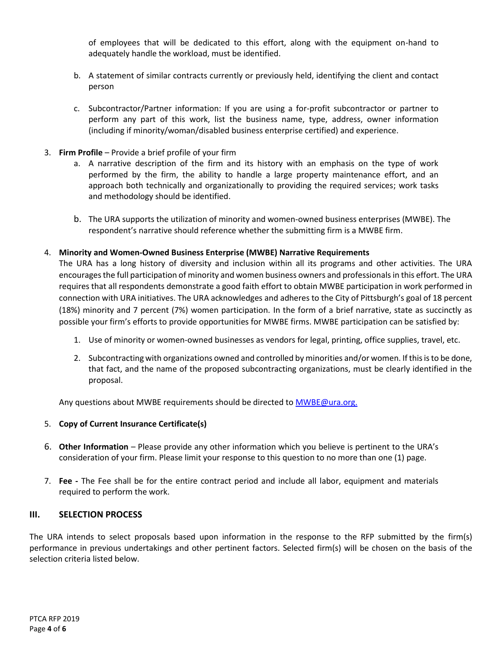of employees that will be dedicated to this effort, along with the equipment on-hand to adequately handle the workload, must be identified.

- b. A statement of similar contracts currently or previously held, identifying the client and contact person
- c. Subcontractor/Partner information: If you are using a for-profit subcontractor or partner to perform any part of this work, list the business name, type, address, owner information (including if minority/woman/disabled business enterprise certified) and experience.
- 3. **Firm Profile**  Provide a brief profile of your firm
	- a. A narrative description of the firm and its history with an emphasis on the type of work performed by the firm, the ability to handle a large property maintenance effort, and an approach both technically and organizationally to providing the required services; work tasks and methodology should be identified.
	- b. The URA supports the utilization of minority and women-owned business enterprises (MWBE). The respondent's narrative should reference whether the submitting firm is a MWBE firm.

### 4. **Minority and Women-Owned Business Enterprise (MWBE) Narrative Requirements**

The URA has a long history of diversity and inclusion within all its programs and other activities. The URA encourages the full participation of minority and women business owners and professionals in this effort. The URA requires that all respondents demonstrate a good faith effort to obtain MWBE participation in work performed in connection with URA initiatives. The URA acknowledges and adheres to the City of Pittsburgh's goal of 18 percent (18%) minority and 7 percent (7%) women participation. In the form of a brief narrative, state as succinctly as possible your firm's efforts to provide opportunities for MWBE firms. MWBE participation can be satisfied by:

- 1. Use of minority or women-owned businesses as vendors for legal, printing, office supplies, travel, etc.
- 2. Subcontracting with organizations owned and controlled by minorities and/or women. If this is to be done, that fact, and the name of the proposed subcontracting organizations, must be clearly identified in the proposal.

Any questions about MWBE requirements should be directed t[o MWBE@ura.org.](mailto:MWBE@ura.org)

#### 5. **Copy of Current Insurance Certificate(s)**

- 6. **Other Information** Please provide any other information which you believe is pertinent to the URA's consideration of your firm. Please limit your response to this question to no more than one (1) page.
- 7. **Fee -** The Fee shall be for the entire contract period and include all labor, equipment and materials required to perform the work.

#### **III. SELECTION PROCESS**

The URA intends to select proposals based upon information in the response to the RFP submitted by the firm(s) performance in previous undertakings and other pertinent factors. Selected firm(s) will be chosen on the basis of the selection criteria listed below.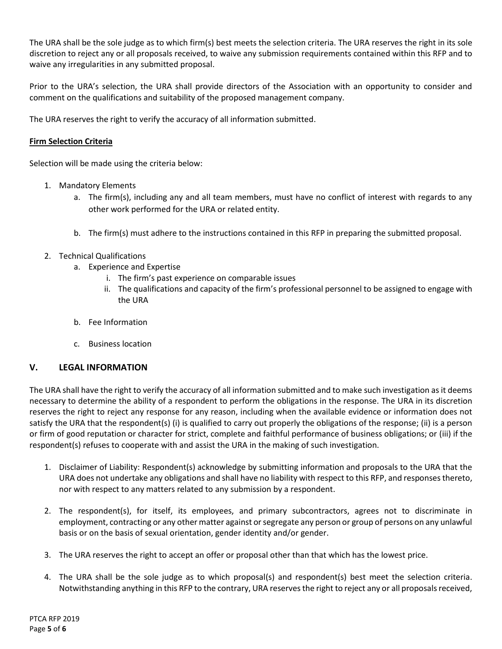The URA shall be the sole judge as to which firm(s) best meets the selection criteria. The URA reserves the right in its sole discretion to reject any or all proposals received, to waive any submission requirements contained within this RFP and to waive any irregularities in any submitted proposal.

Prior to the URA's selection, the URA shall provide directors of the Association with an opportunity to consider and comment on the qualifications and suitability of the proposed management company.

The URA reserves the right to verify the accuracy of all information submitted.

# **Firm Selection Criteria**

Selection will be made using the criteria below:

- 1. Mandatory Elements
	- a. The firm(s), including any and all team members, must have no conflict of interest with regards to any other work performed for the URA or related entity.
	- b. The firm(s) must adhere to the instructions contained in this RFP in preparing the submitted proposal.
- 2. Technical Qualifications
	- a. Experience and Expertise
		- i. The firm's past experience on comparable issues
		- ii. The qualifications and capacity of the firm's professional personnel to be assigned to engage with the URA
	- b. Fee Information
	- c. Business location

# **V. LEGAL INFORMATION**

The URA shall have the right to verify the accuracy of all information submitted and to make such investigation as it deems necessary to determine the ability of a respondent to perform the obligations in the response. The URA in its discretion reserves the right to reject any response for any reason, including when the available evidence or information does not satisfy the URA that the respondent(s) (i) is qualified to carry out properly the obligations of the response; (ii) is a person or firm of good reputation or character for strict, complete and faithful performance of business obligations; or (iii) if the respondent(s) refuses to cooperate with and assist the URA in the making of such investigation.

- 1. Disclaimer of Liability: Respondent(s) acknowledge by submitting information and proposals to the URA that the URA does not undertake any obligations and shall have no liability with respect to this RFP, and responses thereto, nor with respect to any matters related to any submission by a respondent.
- 2. The respondent(s), for itself, its employees, and primary subcontractors, agrees not to discriminate in employment, contracting or any other matter against or segregate any person or group of persons on any unlawful basis or on the basis of sexual orientation, gender identity and/or gender.
- 3. The URA reserves the right to accept an offer or proposal other than that which has the lowest price.
- 4. The URA shall be the sole judge as to which proposal(s) and respondent(s) best meet the selection criteria. Notwithstanding anything in this RFP to the contrary, URA reserves the right to reject any or all proposals received,